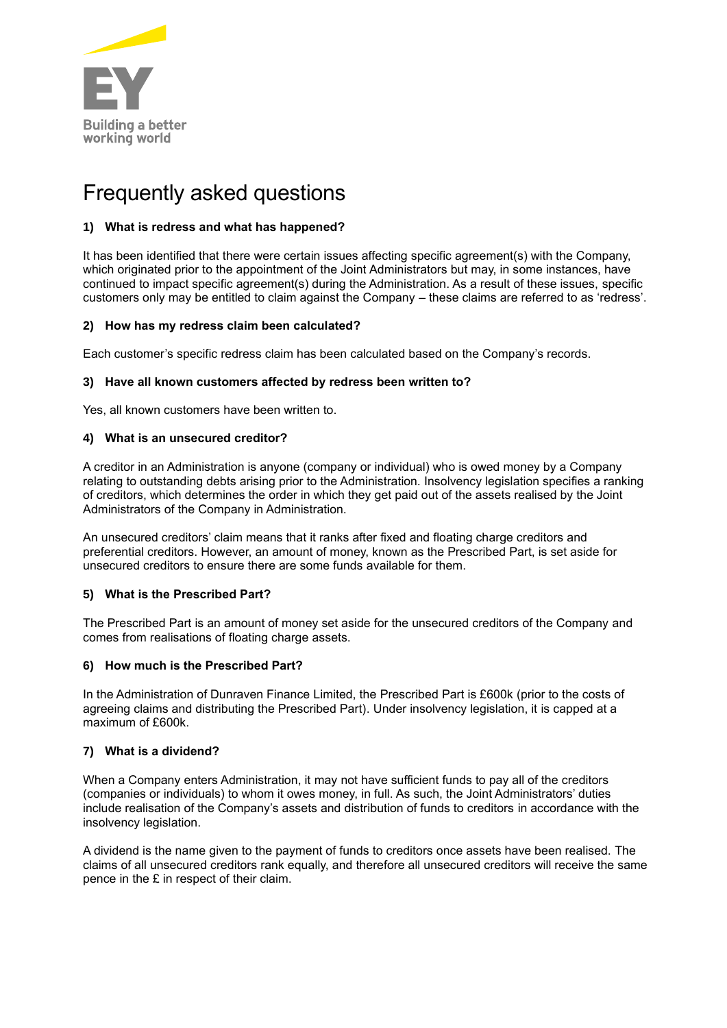

# Frequently asked questions

# **1) What is redress and what has happened?**

It has been identified that there were certain issues affecting specific agreement(s) with the Company, which originated prior to the appointment of the Joint Administrators but may, in some instances, have continued to impact specific agreement(s) during the Administration. As a result of these issues, specific customers only may be entitled to claim against the Company – these claims are referred to as 'redress'.

# **2) How has my redress claim been calculated?**

Each customer's specific redress claim has been calculated based on the Company's records.

# **3) Have all known customers affected by redress been written to?**

Yes, all known customers have been written to.

# **4) What is an unsecured creditor?**

A creditor in an Administration is anyone (company or individual) who is owed money by a Company relating to outstanding debts arising prior to the Administration. Insolvency legislation specifies a ranking of creditors, which determines the order in which they get paid out of the assets realised by the Joint Administrators of the Company in Administration.

An unsecured creditors' claim means that it ranks after fixed and floating charge creditors and preferential creditors. However, an amount of money, known as the Prescribed Part, is set aside for unsecured creditors to ensure there are some funds available for them.

# **5) What is the Prescribed Part?**

The Prescribed Part is an amount of money set aside for the unsecured creditors of the Company and comes from realisations of floating charge assets.

#### **6) How much is the Prescribed Part?**

In the Administration of Dunraven Finance Limited, the Prescribed Part is £600k (prior to the costs of agreeing claims and distributing the Prescribed Part). Under insolvency legislation, it is capped at a maximum of £600k.

# **7) What is a dividend?**

When a Company enters Administration, it may not have sufficient funds to pay all of the creditors (companies or individuals) to whom it owes money, in full. As such, the Joint Administrators' duties include realisation of the Company's assets and distribution of funds to creditors in accordance with the insolvency legislation.

A dividend is the name given to the payment of funds to creditors once assets have been realised. The claims of all unsecured creditors rank equally, and therefore all unsecured creditors will receive the same pence in the £ in respect of their claim.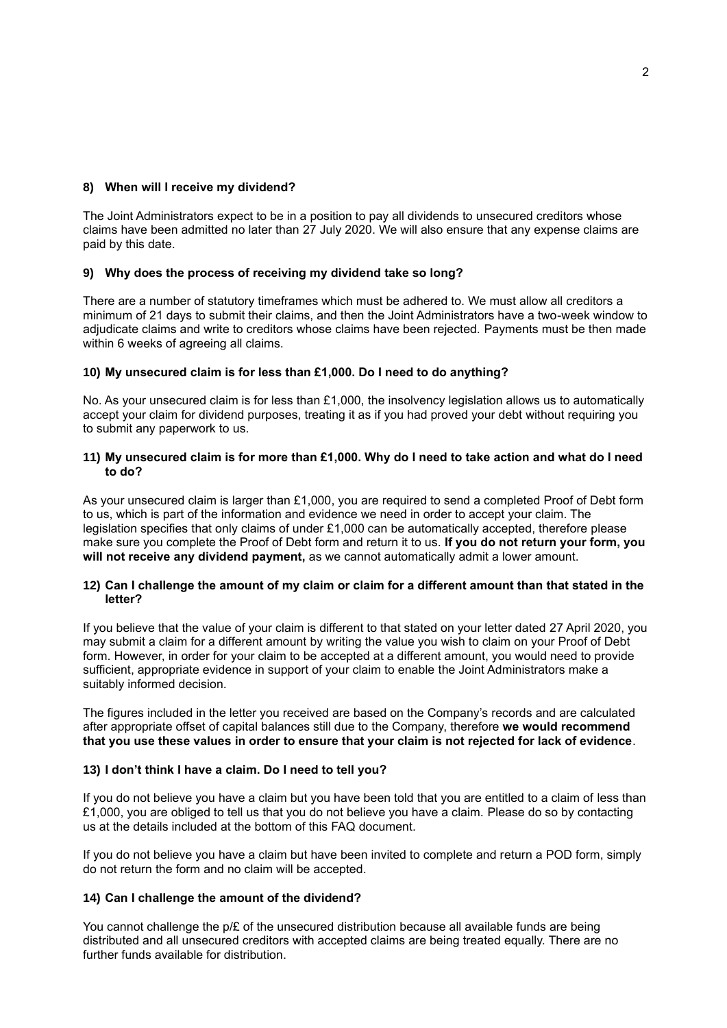# **8) When will I receive my dividend?**

The Joint Administrators expect to be in a position to pay all dividends to unsecured creditors whose claims have been admitted no later than 27 July 2020. We will also ensure that any expense claims are paid by this date.

# **9) Why does the process of receiving my dividend take so long?**

There are a number of statutory timeframes which must be adhered to. We must allow all creditors a minimum of 21 days to submit their claims, and then the Joint Administrators have a two-week window to adjudicate claims and write to creditors whose claims have been rejected. Payments must be then made within 6 weeks of agreeing all claims.

# **10) My unsecured claim is for less than £1,000. Do I need to do anything?**

No. As your unsecured claim is for less than £1,000, the insolvency legislation allows us to automatically accept your claim for dividend purposes, treating it as if you had proved your debt without requiring you to submit any paperwork to us.

#### **11) My unsecured claim is for more than £1,000. Why do I need to take action and what do I need to do?**

As your unsecured claim is larger than £1,000, you are required to send a completed Proof of Debt form to us, which is part of the information and evidence we need in order to accept your claim. The legislation specifies that only claims of under £1,000 can be automatically accepted, therefore please make sure you complete the Proof of Debt form and return it to us. **If you do not return your form, you will not receive any dividend payment,** as we cannot automatically admit a lower amount.

#### **12) Can I challenge the amount of my claim or claim for a different amount than that stated in the letter?**

If you believe that the value of your claim is different to that stated on your letter dated 27 April 2020, you may submit a claim for a different amount by writing the value you wish to claim on your Proof of Debt form. However, in order for your claim to be accepted at a different amount, you would need to provide sufficient, appropriate evidence in support of your claim to enable the Joint Administrators make a suitably informed decision.

The figures included in the letter you received are based on the Company's records and are calculated after appropriate offset of capital balances still due to the Company, therefore **we would recommend that you use these values in order to ensure that your claim is not rejected for lack of evidence**.

#### **13) I don't think I have a claim. Do I need to tell you?**

If you do not believe you have a claim but you have been told that you are entitled to a claim of less than £1,000, you are obliged to tell us that you do not believe you have a claim. Please do so by contacting us at the details included at the bottom of this FAQ document.

If you do not believe you have a claim but have been invited to complete and return a POD form, simply do not return the form and no claim will be accepted.

# **14) Can I challenge the amount of the dividend?**

You cannot challenge the p/£ of the unsecured distribution because all available funds are being distributed and all unsecured creditors with accepted claims are being treated equally. There are no further funds available for distribution.